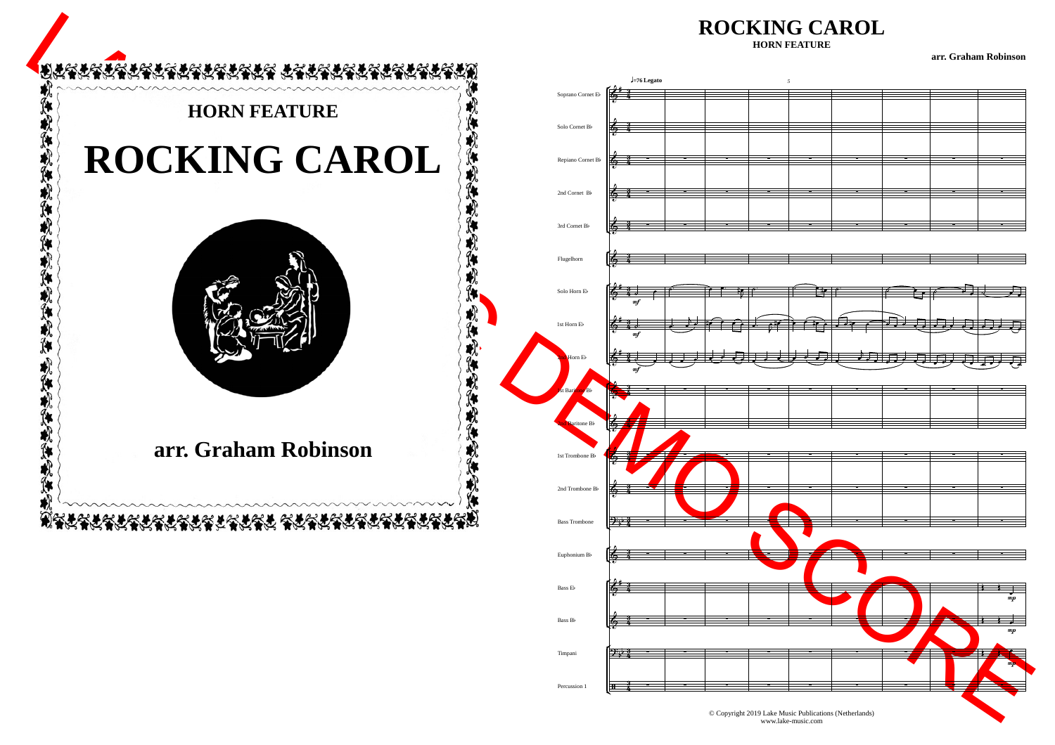## **ROCKING CAROL**

**HORN FEATURE**

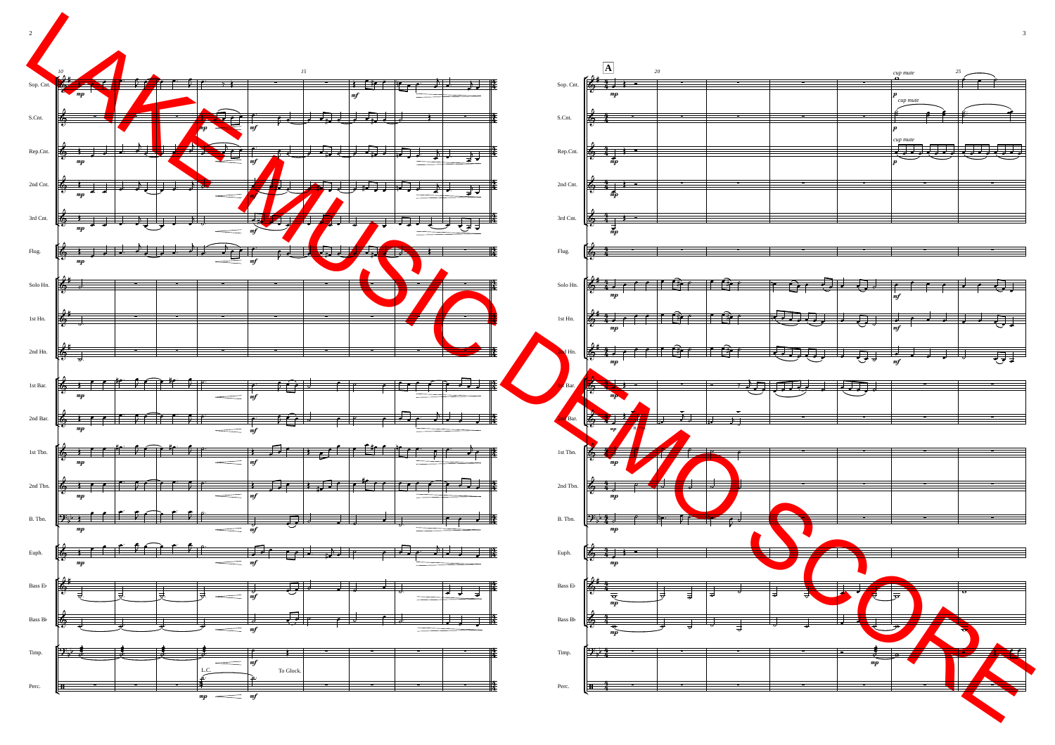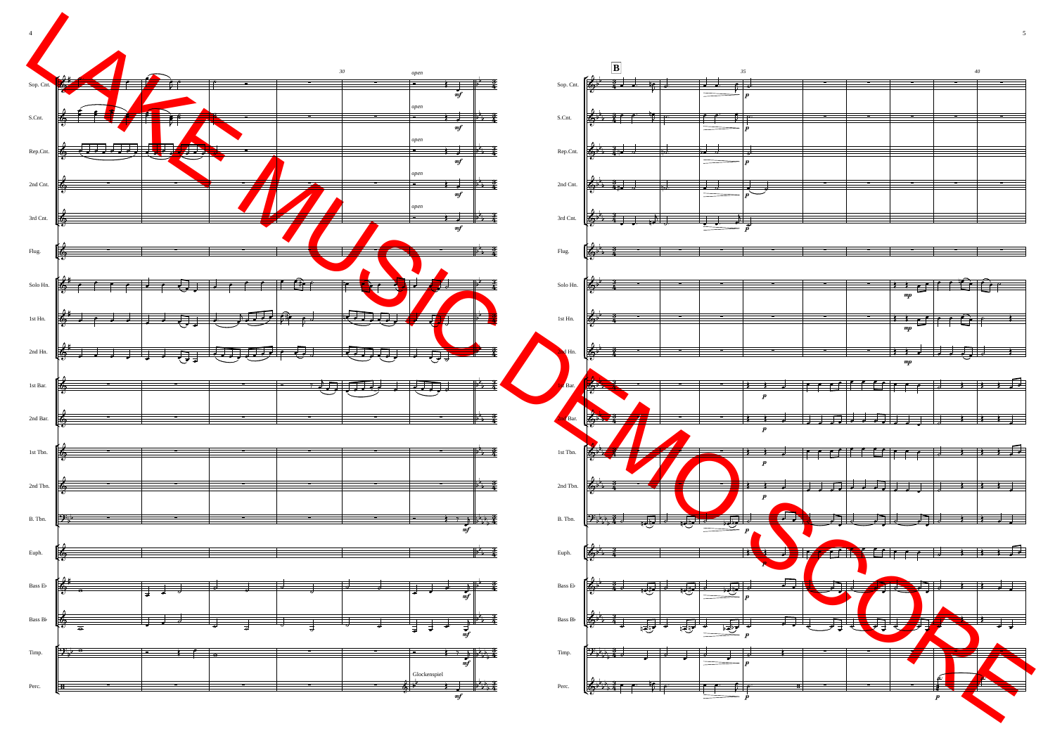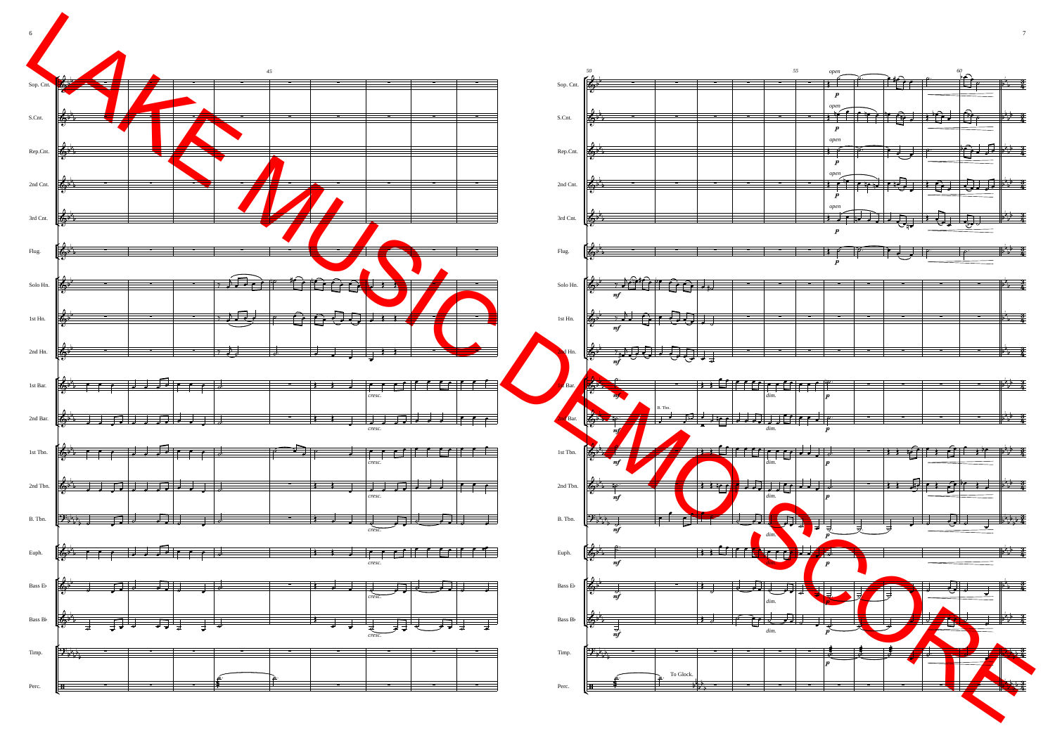